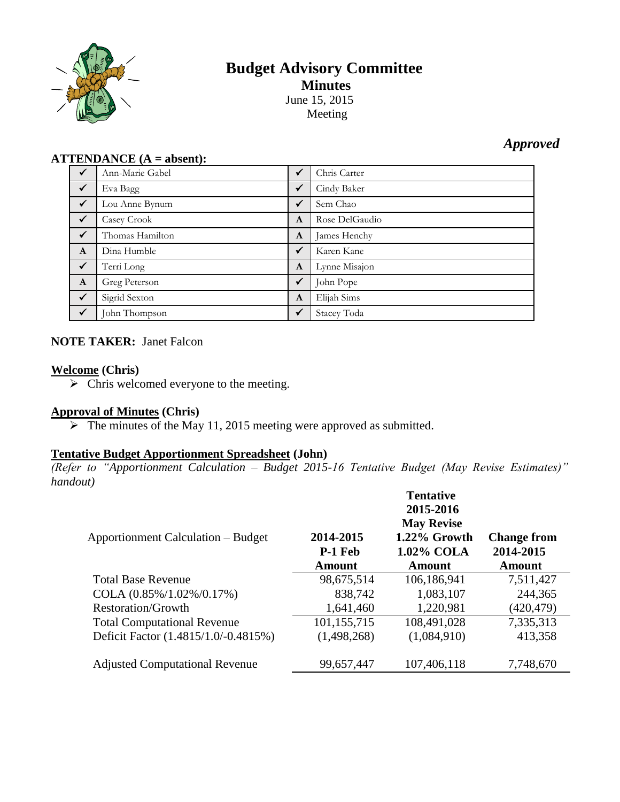

# **Budget Advisory Committee Minutes** June 15, 2015

Meeting

## *Approved*

## **ATTENDANCE (A = absent):**

| $\checkmark$ | Ann-Marie Gabel | $\checkmark$ | Chris Carter   |
|--------------|-----------------|--------------|----------------|
| $\sqrt{}$    | Eva Bagg        | $\checkmark$ | Cindy Baker    |
| $\checkmark$ | Lou Anne Bynum  | $\checkmark$ | Sem Chao       |
| $\sqrt{}$    | Casey Crook     | A            | Rose DelGaudio |
| $\sqrt{}$    | Thomas Hamilton | A            | James Henchy   |
| $\mathbf{A}$ | Dina Humble     | $\checkmark$ | Karen Kane     |
| $\checkmark$ | Terri Long      | $\mathbf{A}$ | Lynne Misajon  |
| $\mathbf{A}$ | Greg Peterson   | $\sqrt{}$    | John Pope      |
| $\checkmark$ | Sigrid Sexton   | $\mathbf{A}$ | Elijah Sims    |
| $\checkmark$ | John Thompson   | $\checkmark$ | Stacey Toda    |

## **NOTE TAKER:** Janet Falcon

## **Welcome (Chris)**

 $\triangleright$  Chris welcomed everyone to the meeting.

## **Approval of Minutes (Chris)**

 $\triangleright$  The minutes of the May 11, 2015 meeting were approved as submitted.

## **Tentative Budget Apportionment Spreadsheet (John)**

*(Refer to "Apportionment Calculation – Budget 2015-16 Tentative Budget (May Revise Estimates)" handout)*

| <b>Apportionment Calculation – Budget</b> | 2014-2015<br><b>P-1 Feb</b><br><b>Amount</b> | <b>Tentative</b><br>2015-2016<br><b>May Revise</b><br>1.22% Growth<br>1.02% COLA<br>Amount | <b>Change from</b><br>2014-2015<br><b>Amount</b> |
|-------------------------------------------|----------------------------------------------|--------------------------------------------------------------------------------------------|--------------------------------------------------|
| <b>Total Base Revenue</b>                 | 98,675,514                                   | 106,186,941                                                                                | 7,511,427                                        |
| COLA $(0.85\%/1.02\%/0.17\%)$             | 838,742                                      | 1,083,107                                                                                  | 244,365                                          |
| <b>Restoration/Growth</b>                 | 1,641,460                                    | 1,220,981                                                                                  | (420, 479)                                       |
| <b>Total Computational Revenue</b>        | 101,155,715                                  | 108,491,028                                                                                | 7,335,313                                        |
| Deficit Factor (1.4815/1.0/-0.4815%)      | (1,498,268)                                  | (1,084,910)                                                                                | 413,358                                          |
| <b>Adjusted Computational Revenue</b>     | 99,657,447                                   | 107,406,118                                                                                | 7,748,670                                        |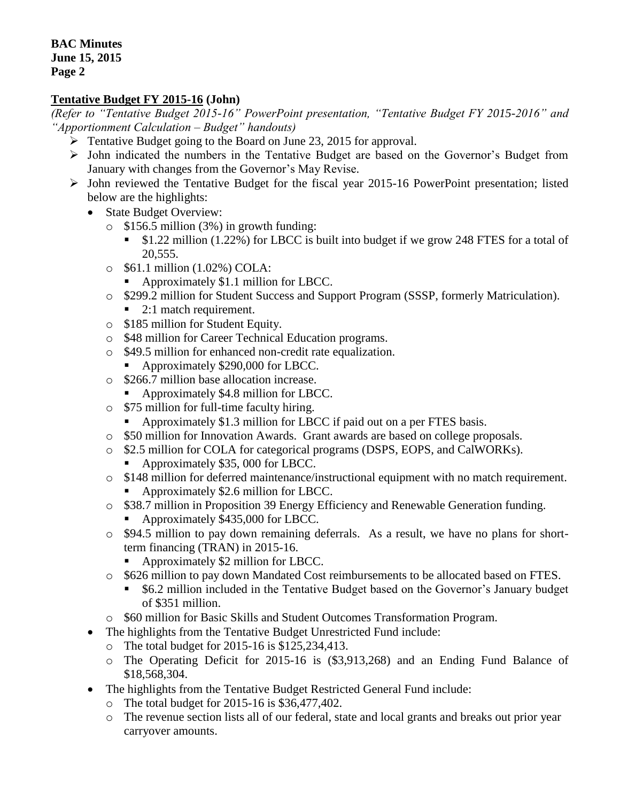## **Tentative Budget FY 2015-16 (John)**

*(Refer to "Tentative Budget 2015-16" PowerPoint presentation, "Tentative Budget FY 2015-2016" and "Apportionment Calculation – Budget" handouts)*

- **Funda** Tentative Budget going to the Board on June 23, 2015 for approval.
- John indicated the numbers in the Tentative Budget are based on the Governor's Budget from January with changes from the Governor's May Revise.
- $\triangleright$  John reviewed the Tentative Budget for the fiscal year 2015-16 PowerPoint presentation; listed below are the highlights:
	- State Budget Overview:
		- o \$156.5 million (3%) in growth funding:
			- \$1.22 million (1.22%) for LBCC is built into budget if we grow 248 FTES for a total of 20,555.
		- o \$61.1 million (1.02%) COLA:
			- Approximately \$1.1 million for LBCC.
		- o \$299.2 million for Student Success and Support Program (SSSP, formerly Matriculation).
			- 2:1 match requirement.
		- o \$185 million for Student Equity.
		- o \$48 million for Career Technical Education programs.
		- o \$49.5 million for enhanced non-credit rate equalization.
			- Approximately \$290,000 for LBCC.
		- o \$266.7 million base allocation increase.
			- Approximately \$4.8 million for LBCC.
		- o \$75 million for full-time faculty hiring.
			- Approximately \$1.3 million for LBCC if paid out on a per FTES basis.
		- o \$50 million for Innovation Awards. Grant awards are based on college proposals.
		- o \$2.5 million for COLA for categorical programs (DSPS, EOPS, and CalWORKs).
			- Approximately \$35, 000 for LBCC.
		- o \$148 million for deferred maintenance/instructional equipment with no match requirement.
			- Approximately \$2.6 million for LBCC.
		- o \$38.7 million in Proposition 39 Energy Efficiency and Renewable Generation funding.
			- Approximately \$435,000 for LBCC.
		- o \$94.5 million to pay down remaining deferrals. As a result, we have no plans for shortterm financing (TRAN) in 2015-16.
			- Approximately \$2 million for LBCC.
		- o \$626 million to pay down Mandated Cost reimbursements to be allocated based on FTES.
			- \$6.2 million included in the Tentative Budget based on the Governor's January budget of \$351 million.
		- o \$60 million for Basic Skills and Student Outcomes Transformation Program.
	- The highlights from the Tentative Budget Unrestricted Fund include:
		- o The total budget for 2015-16 is \$125,234,413.
		- o The Operating Deficit for 2015-16 is (\$3,913,268) and an Ending Fund Balance of \$18,568,304.
	- The highlights from the Tentative Budget Restricted General Fund include:
		- o The total budget for 2015-16 is \$36,477,402.
		- o The revenue section lists all of our federal, state and local grants and breaks out prior year carryover amounts.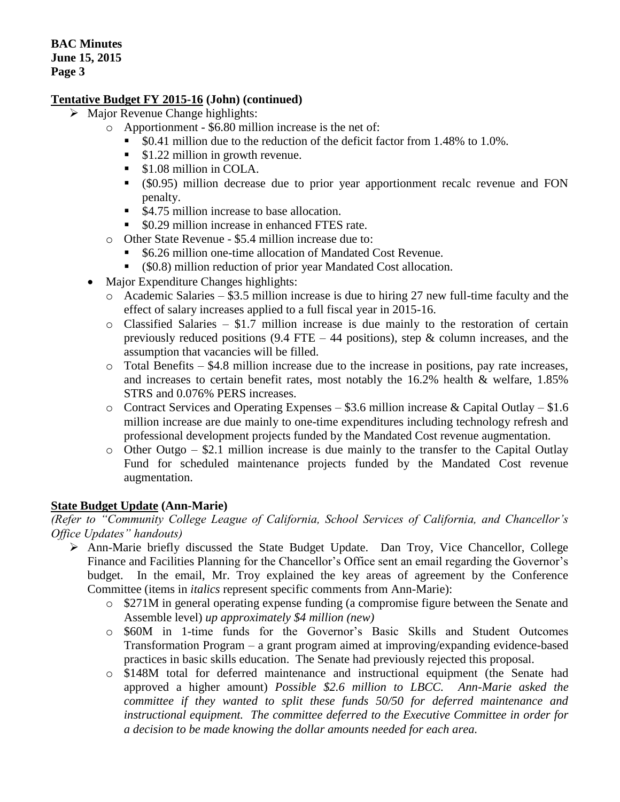## **Tentative Budget FY 2015-16 (John) (continued)**

- $\triangleright$  Major Revenue Change highlights:
	- o Apportionment \$6.80 million increase is the net of:
		- \$0.41 million due to the reduction of the deficit factor from 1.48% to 1.0%.
		- **S1.22 million in growth revenue.**
		- $\blacksquare$  \$1.08 million in COLA.
		- (\$0.95) million decrease due to prior year apportionment recalc revenue and FON penalty.
		- \$4.75 million increase to base allocation.
		- \$0.29 million increase in enhanced FTES rate.
	- o Other State Revenue \$5.4 million increase due to:
		- \$6.26 million one-time allocation of Mandated Cost Revenue.
		- (\$0.8) million reduction of prior year Mandated Cost allocation.
	- Major Expenditure Changes highlights:
		- o Academic Salaries \$3.5 million increase is due to hiring 27 new full-time faculty and the effect of salary increases applied to a full fiscal year in 2015-16.
		- o Classified Salaries \$1.7 million increase is due mainly to the restoration of certain previously reduced positions (9.4 FTE – 44 positions), step  $\&$  column increases, and the assumption that vacancies will be filled.
		- $\circ$  Total Benefits \$4.8 million increase due to the increase in positions, pay rate increases, and increases to certain benefit rates, most notably the 16.2% health & welfare, 1.85% STRS and 0.076% PERS increases.
		- o Contract Services and Operating Expenses \$3.6 million increase & Capital Outlay \$1.6 million increase are due mainly to one-time expenditures including technology refresh and professional development projects funded by the Mandated Cost revenue augmentation.
		- o Other Outgo \$2.1 million increase is due mainly to the transfer to the Capital Outlay Fund for scheduled maintenance projects funded by the Mandated Cost revenue augmentation.

## **State Budget Update (Ann-Marie)**

*(Refer to "Community College League of California, School Services of California, and Chancellor's Office Updates" handouts)*

- Ann-Marie briefly discussed the State Budget Update. Dan Troy, Vice Chancellor, College Finance and Facilities Planning for the Chancellor's Office sent an email regarding the Governor's budget. In the email, Mr. Troy explained the key areas of agreement by the Conference Committee (items in *italics* represent specific comments from Ann-Marie):
	- o \$271M in general operating expense funding (a compromise figure between the Senate and Assemble level) *up approximately \$4 million (new)*
	- o \$60M in 1-time funds for the Governor's Basic Skills and Student Outcomes Transformation Program – a grant program aimed at improving/expanding evidence-based practices in basic skills education. The Senate had previously rejected this proposal.
	- o \$148M total for deferred maintenance and instructional equipment (the Senate had approved a higher amount) *Possible \$2.6 million to LBCC. Ann-Marie asked the committee if they wanted to split these funds 50/50 for deferred maintenance and instructional equipment. The committee deferred to the Executive Committee in order for a decision to be made knowing the dollar amounts needed for each area.*